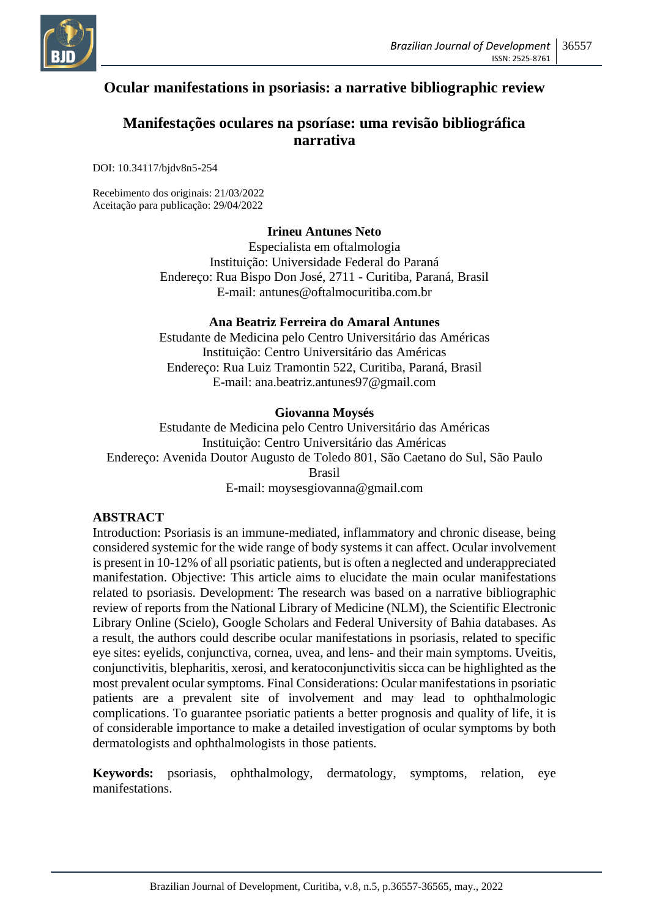

# **Ocular manifestations in psoriasis: a narrative bibliographic review**

## **Manifestações oculares na psoríase: uma revisão bibliográfica narrativa**

DOI: 10.34117/bjdv8n5-254

Recebimento dos originais: 21/03/2022 Aceitação para publicação: 29/04/2022

#### **Irineu Antunes Neto**

Especialista em oftalmologia Instituição: Universidade Federal do Paraná Endereço: Rua Bispo Don José, 2711 - Curitiba, Paraná, Brasil E-mail: antunes@oftalmocuritiba.com.br

#### **Ana Beatriz Ferreira do Amaral Antunes**

Estudante de Medicina pelo Centro Universitário das Américas Instituição: Centro Universitário das Américas Endereço: Rua Luiz Tramontin 522, Curitiba, Paraná, Brasil E-mail: ana.beatriz.antunes97@gmail.com

#### **Giovanna Moysés**

Estudante de Medicina pelo Centro Universitário das Américas Instituição: Centro Universitário das Américas Endereço: Avenida Doutor Augusto de Toledo 801, São Caetano do Sul, São Paulo Brasil E-mail: moysesgiovanna@gmail.com

#### **ABSTRACT**

Introduction: Psoriasis is an immune-mediated, inflammatory and chronic disease, being considered systemic for the wide range of body systems it can affect. Ocular involvement is present in 10-12% of all psoriatic patients, but is often a neglected and underappreciated manifestation. Objective: This article aims to elucidate the main ocular manifestations related to psoriasis. Development: The research was based on a narrative bibliographic review of reports from the National Library of Medicine (NLM), the Scientific Electronic Library Online (Scielo), Google Scholars and Federal University of Bahia databases. As a result, the authors could describe ocular manifestations in psoriasis, related to specific eye sites: eyelids, conjunctiva, cornea, uvea, and lens- and their main symptoms. Uveitis, conjunctivitis, blepharitis, xerosi, and keratoconjunctivitis sicca can be highlighted as the most prevalent ocular symptoms. Final Considerations: Ocular manifestations in psoriatic patients are a prevalent site of involvement and may lead to ophthalmologic complications. To guarantee psoriatic patients a better prognosis and quality of life, it is of considerable importance to make a detailed investigation of ocular symptoms by both dermatologists and ophthalmologists in those patients.

**Keywords:** psoriasis, ophthalmology, dermatology, symptoms, relation, eye manifestations.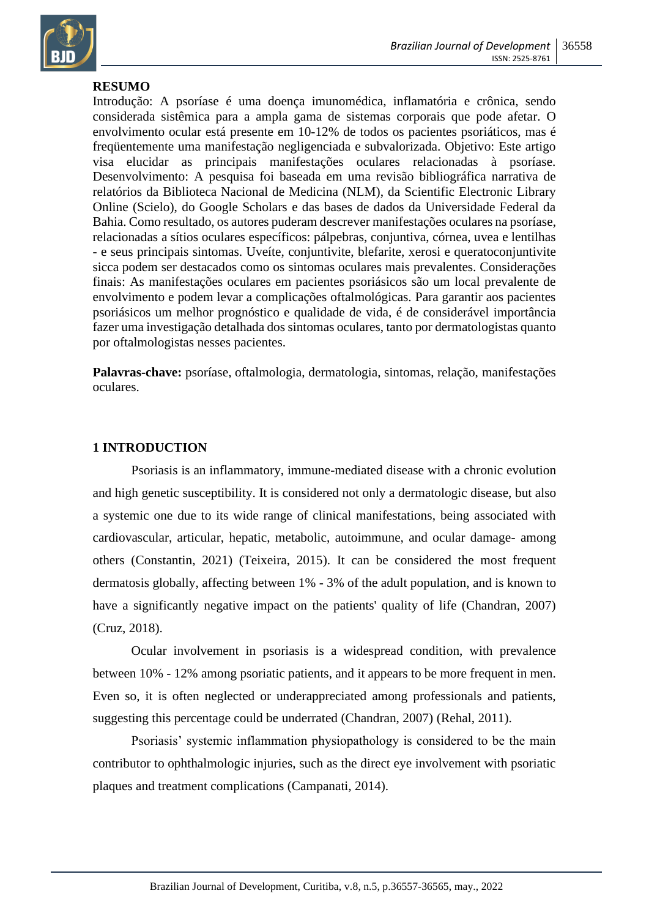

## **RESUMO**

Introdução: A psoríase é uma doença imunomédica, inflamatória e crônica, sendo considerada sistêmica para a ampla gama de sistemas corporais que pode afetar. O envolvimento ocular está presente em 10-12% de todos os pacientes psoriáticos, mas é freqüentemente uma manifestação negligenciada e subvalorizada. Objetivo: Este artigo visa elucidar as principais manifestações oculares relacionadas à psoríase. Desenvolvimento: A pesquisa foi baseada em uma revisão bibliográfica narrativa de relatórios da Biblioteca Nacional de Medicina (NLM), da Scientific Electronic Library Online (Scielo), do Google Scholars e das bases de dados da Universidade Federal da Bahia. Como resultado, os autores puderam descrever manifestações oculares na psoríase, relacionadas a sítios oculares específicos: pálpebras, conjuntiva, córnea, uvea e lentilhas - e seus principais sintomas. Uveíte, conjuntivite, blefarite, xerosi e queratoconjuntivite sicca podem ser destacados como os sintomas oculares mais prevalentes. Considerações finais: As manifestações oculares em pacientes psoriásicos são um local prevalente de envolvimento e podem levar a complicações oftalmológicas. Para garantir aos pacientes psoriásicos um melhor prognóstico e qualidade de vida, é de considerável importância fazer uma investigação detalhada dos sintomas oculares, tanto por dermatologistas quanto por oftalmologistas nesses pacientes.

**Palavras-chave:** psoríase, oftalmologia, dermatologia, sintomas, relação, manifestações oculares.

#### **1 INTRODUCTION**

Psoriasis is an inflammatory, immune-mediated disease with a chronic evolution and high genetic susceptibility. It is considered not only a dermatologic disease, but also a systemic one due to its wide range of clinical manifestations, being associated with cardiovascular, articular, hepatic, metabolic, autoimmune, and ocular damage- among others (Constantin, 2021) (Teixeira, 2015). It can be considered the most frequent dermatosis globally, affecting between 1% - 3% of the adult population, and is known to have a significantly negative impact on the patients' quality of life (Chandran, 2007) (Cruz, 2018).

Ocular involvement in psoriasis is a widespread condition, with prevalence between 10% - 12% among psoriatic patients, and it appears to be more frequent in men. Even so, it is often neglected or underappreciated among professionals and patients, suggesting this percentage could be underrated (Chandran, 2007) (Rehal, 2011).

Psoriasis' systemic inflammation physiopathology is considered to be the main contributor to ophthalmologic injuries, such as the direct eye involvement with psoriatic plaques and treatment complications (Campanati, 2014).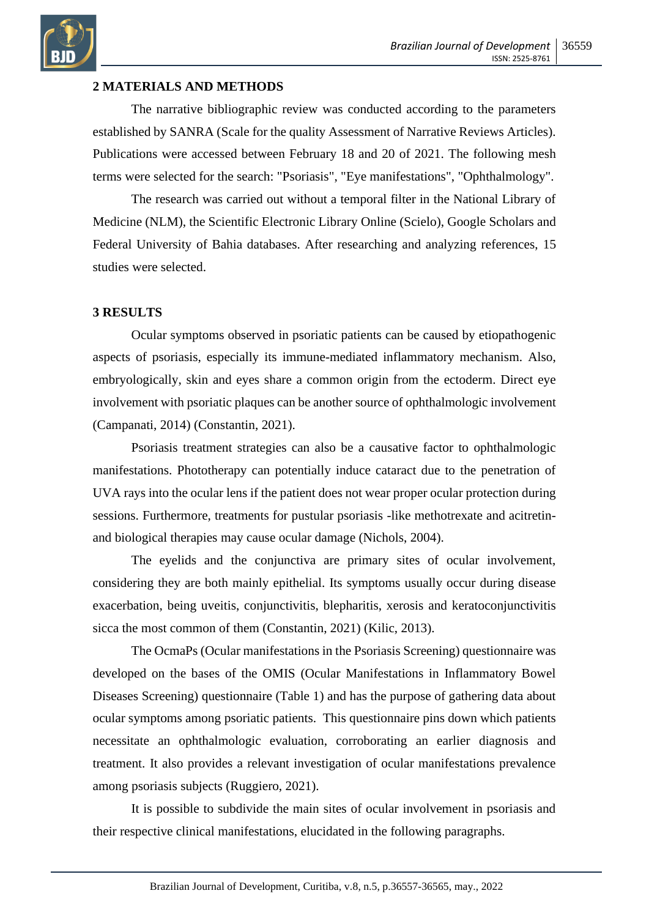

## **2 MATERIALS AND METHODS**

The narrative bibliographic review was conducted according to the parameters established by SANRA (Scale for the quality Assessment of Narrative Reviews Articles). Publications were accessed between February 18 and 20 of 2021. The following mesh terms were selected for the search: "Psoriasis", "Eye manifestations", "Ophthalmology".

The research was carried out without a temporal filter in the National Library of Medicine (NLM), the Scientific Electronic Library Online (Scielo), Google Scholars and Federal University of Bahia databases. After researching and analyzing references, 15 studies were selected.

#### **3 RESULTS**

Ocular symptoms observed in psoriatic patients can be caused by etiopathogenic aspects of psoriasis, especially its immune-mediated inflammatory mechanism. Also, embryologically, skin and eyes share a common origin from the ectoderm. Direct eye involvement with psoriatic plaques can be another source of ophthalmologic involvement (Campanati, 2014) (Constantin, 2021).

Psoriasis treatment strategies can also be a causative factor to ophthalmologic manifestations. Phototherapy can potentially induce cataract due to the penetration of UVA rays into the ocular lens if the patient does not wear proper ocular protection during sessions. Furthermore, treatments for pustular psoriasis -like methotrexate and acitretinand biological therapies may cause ocular damage (Nichols, 2004).

The eyelids and the conjunctiva are primary sites of ocular involvement, considering they are both mainly epithelial. Its symptoms usually occur during disease exacerbation, being uveitis, conjunctivitis, blepharitis, xerosis and keratoconjunctivitis sicca the most common of them (Constantin, 2021) (Kilic, 2013).

The OcmaPs (Ocular manifestations in the Psoriasis Screening) questionnaire was developed on the bases of the OMIS (Ocular Manifestations in Inflammatory Bowel Diseases Screening) questionnaire (Table 1) and has the purpose of gathering data about ocular symptoms among psoriatic patients. This questionnaire pins down which patients necessitate an ophthalmologic evaluation, corroborating an earlier diagnosis and treatment. It also provides a relevant investigation of ocular manifestations prevalence among psoriasis subjects (Ruggiero, 2021).

It is possible to subdivide the main sites of ocular involvement in psoriasis and their respective clinical manifestations, elucidated in the following paragraphs.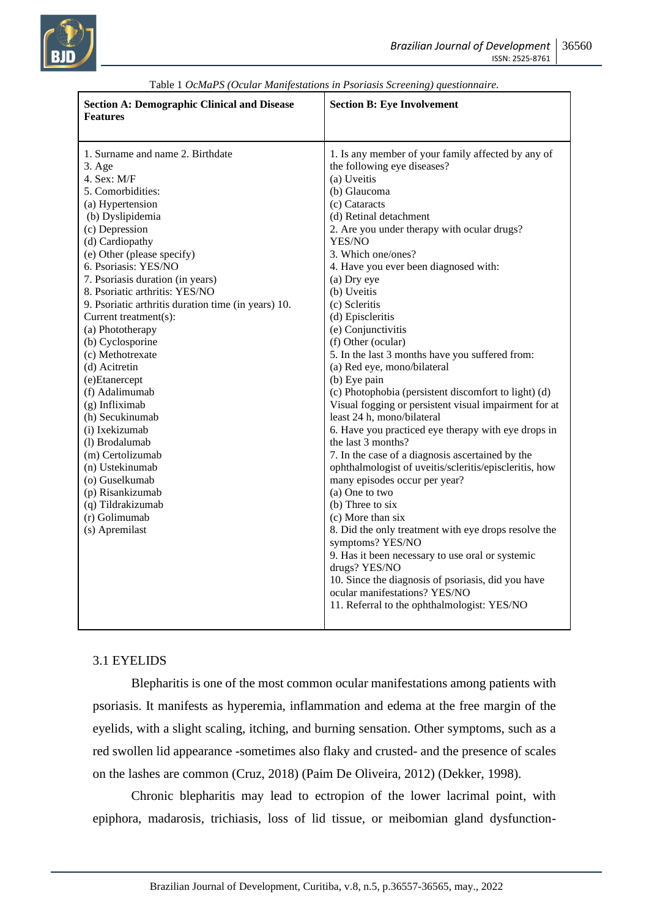

| <b>Section A: Demographic Clinical and Disease</b><br><b>Features</b>                                                                                                                                                                                                                                                                                                                                                                                                                                                                                                                                                                                                                                   | <b>Section B: Eye Involvement</b>                                                                                                                                                                                                                                                                                                                                                                                                                                                                                                                                                                                                                                                                                                                                                                                                                                                                                                                                                                                                                                                                                                                                                                                                   |
|---------------------------------------------------------------------------------------------------------------------------------------------------------------------------------------------------------------------------------------------------------------------------------------------------------------------------------------------------------------------------------------------------------------------------------------------------------------------------------------------------------------------------------------------------------------------------------------------------------------------------------------------------------------------------------------------------------|-------------------------------------------------------------------------------------------------------------------------------------------------------------------------------------------------------------------------------------------------------------------------------------------------------------------------------------------------------------------------------------------------------------------------------------------------------------------------------------------------------------------------------------------------------------------------------------------------------------------------------------------------------------------------------------------------------------------------------------------------------------------------------------------------------------------------------------------------------------------------------------------------------------------------------------------------------------------------------------------------------------------------------------------------------------------------------------------------------------------------------------------------------------------------------------------------------------------------------------|
| 1. Surname and name 2. Birthdate<br>3. Age<br>4. Sex: M/F<br>5. Comorbidities:<br>(a) Hypertension<br>(b) Dyslipidemia<br>(c) Depression<br>(d) Cardiopathy<br>(e) Other (please specify)<br>6. Psoriasis: YES/NO<br>7. Psoriasis duration (in years)<br>8. Psoriatic arthritis: YES/NO<br>9. Psoriatic arthritis duration time (in years) 10.<br>Current treatment(s):<br>(a) Phototherapy<br>(b) Cyclosporine<br>(c) Methotrexate<br>(d) Acitretin<br>(e)Etanercept<br>(f) Adalimumab<br>$(g)$ Infliximab<br>(h) Secukinumab<br>(i) Ixekizumab<br>(1) Brodalumab<br>(m) Certolizumab<br>(n) Ustekinumab<br>(o) Guselkumab<br>(p) Risankizumab<br>(q) Tildrakizumab<br>(r) Golimumab<br>(s) Apremilast | 1. Is any member of your family affected by any of<br>the following eye diseases?<br>(a) Uveitis<br>(b) Glaucoma<br>(c) Cataracts<br>(d) Retinal detachment<br>2. Are you under therapy with ocular drugs?<br>YES/NO<br>3. Which one/ones?<br>4. Have you ever been diagnosed with:<br>(a) Dry eye<br>(b) Uveitis<br>(c) Scleritis<br>(d) Episcleritis<br>(e) Conjunctivitis<br>(f) Other (ocular)<br>5. In the last 3 months have you suffered from:<br>(a) Red eye, mono/bilateral<br>(b) Eye pain<br>(c) Photophobia (persistent discomfort to light) (d)<br>Visual fogging or persistent visual impairment for at<br>least 24 h, mono/bilateral<br>6. Have you practiced eye therapy with eye drops in<br>the last 3 months?<br>7. In the case of a diagnosis ascertained by the<br>ophthalmologist of uveitis/scleritis/episcleritis, how<br>many episodes occur per year?<br>(a) One to two<br>$(b)$ Three to six<br>(c) More than six<br>8. Did the only treatment with eye drops resolve the<br>symptoms? YES/NO<br>9. Has it been necessary to use oral or systemic<br>drugs? YES/NO<br>10. Since the diagnosis of psoriasis, did you have<br>ocular manifestations? YES/NO<br>11. Referral to the ophthalmologist: YES/NO |
|                                                                                                                                                                                                                                                                                                                                                                                                                                                                                                                                                                                                                                                                                                         |                                                                                                                                                                                                                                                                                                                                                                                                                                                                                                                                                                                                                                                                                                                                                                                                                                                                                                                                                                                                                                                                                                                                                                                                                                     |

| Table 1 OcMaPS (Ocular Manifestations in Psoriasis Screening) questionnaire. |  |  |  |  |
|------------------------------------------------------------------------------|--|--|--|--|
|------------------------------------------------------------------------------|--|--|--|--|

#### 3.1 EYELIDS

Blepharitis is one of the most common ocular manifestations among patients with psoriasis. It manifests as hyperemia, inflammation and edema at the free margin of the eyelids, with a slight scaling, itching, and burning sensation. Other symptoms, such as a red swollen lid appearance -sometimes also flaky and crusted- and the presence of scales on the lashes are common (Cruz, 2018) (Paim De Oliveira, 2012) (Dekker, 1998).

Chronic blepharitis may lead to ectropion of the lower lacrimal point, with epiphora, madarosis, trichiasis, loss of lid tissue, or meibomian gland dysfunction-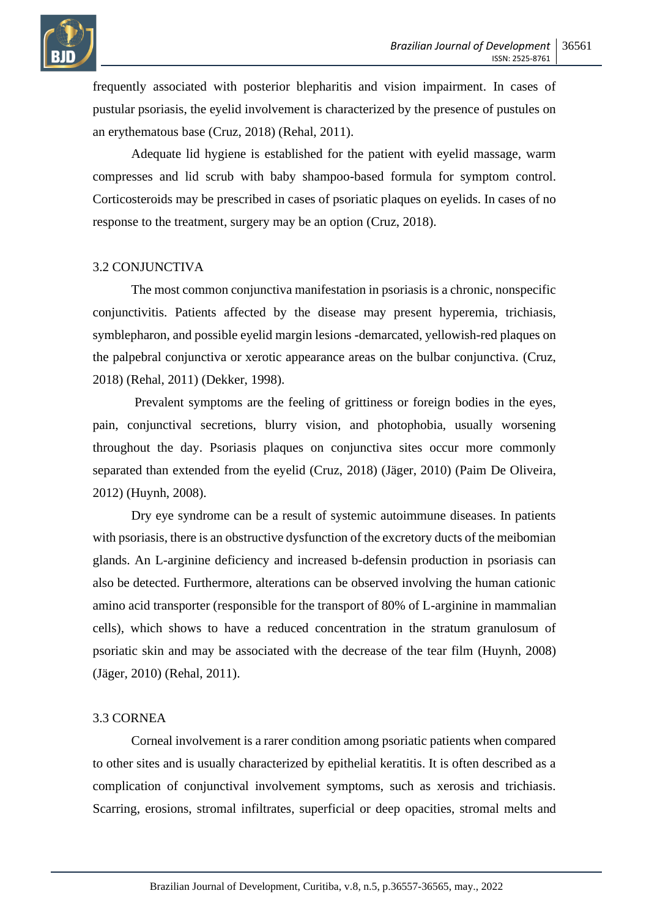

frequently associated with posterior blepharitis and vision impairment. In cases of pustular psoriasis, the eyelid involvement is characterized by the presence of pustules on an erythematous base (Cruz, 2018) (Rehal, 2011).

Adequate lid hygiene is established for the patient with eyelid massage, warm compresses and lid scrub with baby shampoo-based formula for symptom control. Corticosteroids may be prescribed in cases of psoriatic plaques on eyelids. In cases of no response to the treatment, surgery may be an option (Cruz, 2018).

#### 3.2 CONJUNCTIVA

The most common conjunctiva manifestation in psoriasis is a chronic, nonspecific conjunctivitis. Patients affected by the disease may present hyperemia, trichiasis, symblepharon, and possible eyelid margin lesions -demarcated, yellowish-red plaques on the palpebral conjunctiva or xerotic appearance areas on the bulbar conjunctiva. (Cruz, 2018) (Rehal, 2011) (Dekker, 1998).

Prevalent symptoms are the feeling of grittiness or foreign bodies in the eyes, pain, conjunctival secretions, blurry vision, and photophobia, usually worsening throughout the day. Psoriasis plaques on conjunctiva sites occur more commonly separated than extended from the eyelid (Cruz, 2018) (Jäger, 2010) (Paim De Oliveira, 2012) (Huynh, 2008).

Dry eye syndrome can be a result of systemic autoimmune diseases. In patients with psoriasis, there is an obstructive dysfunction of the excretory ducts of the meibomian glands. An L-arginine deficiency and increased b-defensin production in psoriasis can also be detected. Furthermore, alterations can be observed involving the human cationic amino acid transporter (responsible for the transport of 80% of L-arginine in mammalian cells), which shows to have a reduced concentration in the stratum granulosum of psoriatic skin and may be associated with the decrease of the tear film (Huynh, 2008) (Jäger, 2010) (Rehal, 2011).

#### 3.3 CORNEA

Corneal involvement is a rarer condition among psoriatic patients when compared to other sites and is usually characterized by epithelial keratitis. It is often described as a complication of conjunctival involvement symptoms, such as xerosis and trichiasis. Scarring, erosions, stromal infiltrates, superficial or deep opacities, stromal melts and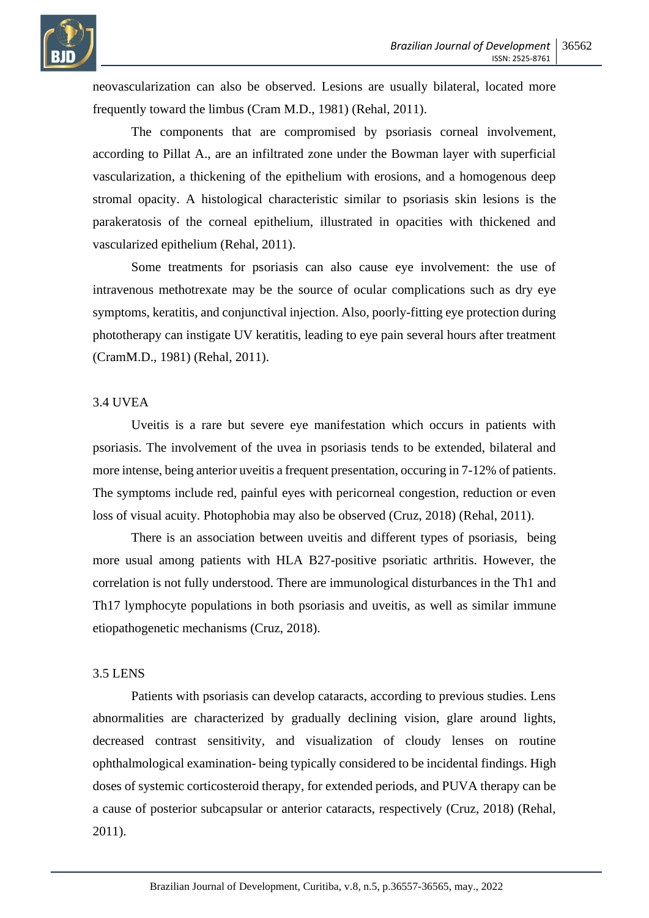

neovascularization can also be observed. Lesions are usually bilateral, located more frequently toward the limbus (Cram M.D., 1981) (Rehal, 2011).

The components that are compromised by psoriasis corneal involvement, according to Pillat A., are an infiltrated zone under the Bowman layer with superficial vascularization, a thickening of the epithelium with erosions, and a homogenous deep stromal opacity. A histological characteristic similar to psoriasis skin lesions is the parakeratosis of the corneal epithelium, illustrated in opacities with thickened and vascularized epithelium (Rehal, 2011).

Some treatments for psoriasis can also cause eye involvement: the use of intravenous methotrexate may be the source of ocular complications such as dry eye symptoms, keratitis, and conjunctival injection. Also, poorly-fitting eye protection during phototherapy can instigate UV keratitis, leading to eye pain several hours after treatment (CramM.D., 1981) (Rehal, 2011).

#### 3.4 UVEA

Uveitis is a rare but severe eye manifestation which occurs in patients with psoriasis. The involvement of the uvea in psoriasis tends to be extended, bilateral and more intense, being anterior uveitis a frequent presentation, occuring in 7-12% of patients. The symptoms include red, painful eyes with pericorneal congestion, reduction or even loss of visual acuity. Photophobia may also be observed (Cruz, 2018) (Rehal, 2011).

There is an association between uveitis and different types of psoriasis, being more usual among patients with HLA B27-positive psoriatic arthritis. However, the correlation is not fully understood. There are immunological disturbances in the Th1 and Th17 lymphocyte populations in both psoriasis and uveitis, as well as similar immune etiopathogenetic mechanisms (Cruz, 2018).

## 3.5 LENS

Patients with psoriasis can develop cataracts, according to previous studies. Lens abnormalities are characterized by gradually declining vision, glare around lights, decreased contrast sensitivity, and visualization of cloudy lenses on routine ophthalmological examination- being typically considered to be incidental findings. High doses of systemic corticosteroid therapy, for extended periods, and PUVA therapy can be a cause of posterior subcapsular or anterior cataracts, respectively (Cruz, 2018) (Rehal, 2011).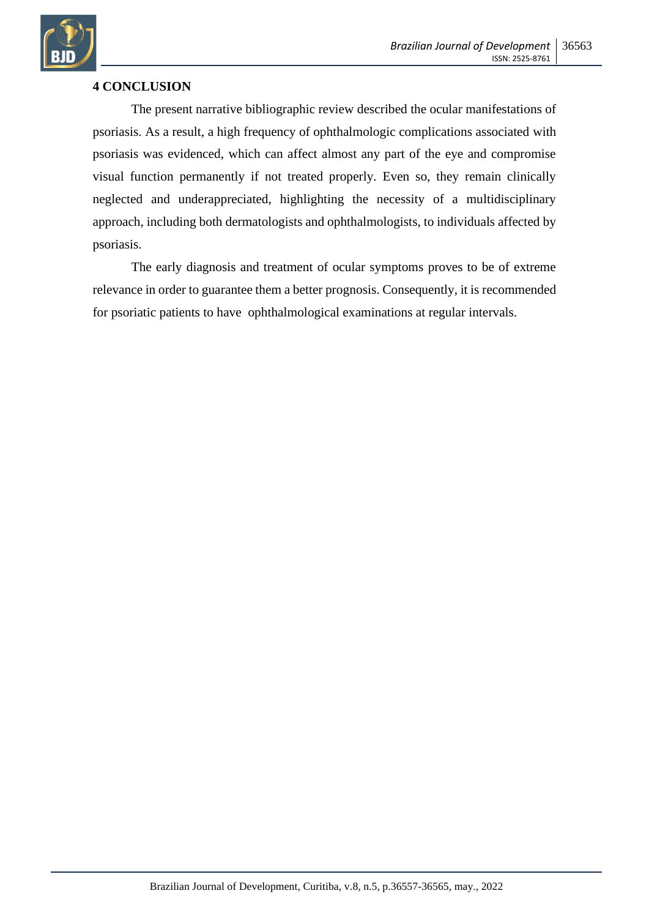

## **4 CONCLUSION**

The present narrative bibliographic review described the ocular manifestations of psoriasis. As a result, a high frequency of ophthalmologic complications associated with psoriasis was evidenced, which can affect almost any part of the eye and compromise visual function permanently if not treated properly. Even so, they remain clinically neglected and underappreciated, highlighting the necessity of a multidisciplinary approach, including both dermatologists and ophthalmologists, to individuals affected by psoriasis.

The early diagnosis and treatment of ocular symptoms proves to be of extreme relevance in order to guarantee them a better prognosis. Consequently, it is recommended for psoriatic patients to have ophthalmological examinations at regular intervals.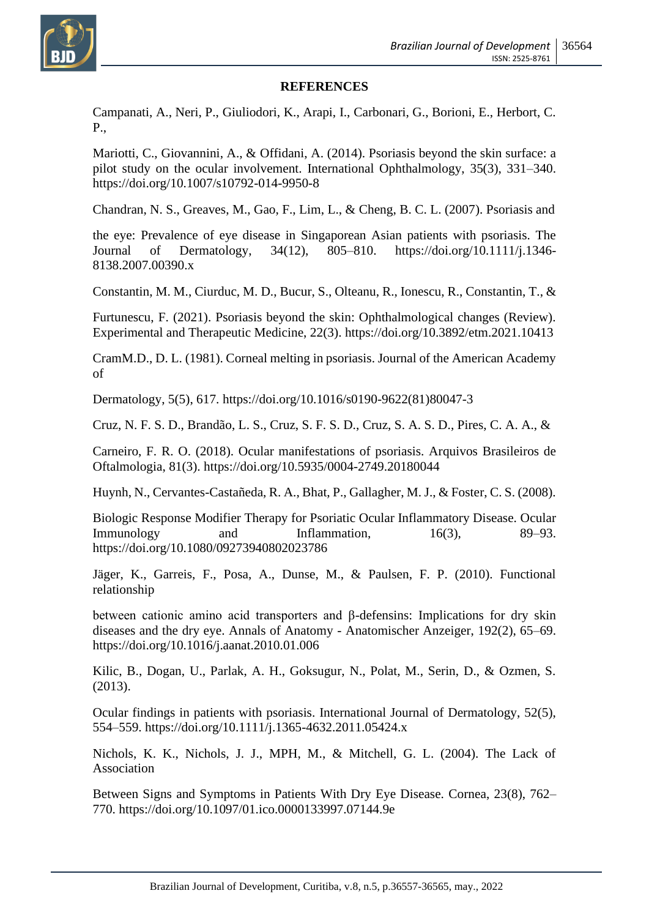

#### **REFERENCES**

Campanati, A., Neri, P., Giuliodori, K., Arapi, I., Carbonari, G., Borioni, E., Herbort, C. P.,

Mariotti, C., Giovannini, A., & Offidani, A. (2014). Psoriasis beyond the skin surface: a pilot study on the ocular involvement. International Ophthalmology, 35(3), 331–340. https://doi.org/10.1007/s10792-014-9950-8

Chandran, N. S., Greaves, M., Gao, F., Lim, L., & Cheng, B. C. L. (2007). Psoriasis and

the eye: Prevalence of eye disease in Singaporean Asian patients with psoriasis. The Journal of Dermatology, 34(12), 805–810. https://doi.org/10.1111/j.1346- 8138.2007.00390.x

Constantin, M. M., Ciurduc, M. D., Bucur, S., Olteanu, R., Ionescu, R., Constantin, T., &

Furtunescu, F. (2021). Psoriasis beyond the skin: Ophthalmological changes (Review). Experimental and Therapeutic Medicine, 22(3). https://doi.org/10.3892/etm.2021.10413

CramM.D., D. L. (1981). Corneal melting in psoriasis. Journal of the American Academy of

Dermatology, 5(5), 617. https://doi.org/10.1016/s0190-9622(81)80047-3

Cruz, N. F. S. D., Brandão, L. S., Cruz, S. F. S. D., Cruz, S. A. S. D., Pires, C. A. A., &

Carneiro, F. R. O. (2018). Ocular manifestations of psoriasis. Arquivos Brasileiros de Oftalmologia, 81(3). https://doi.org/10.5935/0004-2749.20180044

Huynh, N., Cervantes-Castañeda, R. A., Bhat, P., Gallagher, M. J., & Foster, C. S. (2008).

Biologic Response Modifier Therapy for Psoriatic Ocular Inflammatory Disease. Ocular Immunology and Inflammation,  $16(3)$ , 89–93. https://doi.org/10.1080/09273940802023786

Jäger, K., Garreis, F., Posa, A., Dunse, M., & Paulsen, F. P. (2010). Functional relationship

between cationic amino acid transporters and β-defensins: Implications for dry skin diseases and the dry eye. Annals of Anatomy - Anatomischer Anzeiger, 192(2), 65–69. https://doi.org/10.1016/j.aanat.2010.01.006

Kilic, B., Dogan, U., Parlak, A. H., Goksugur, N., Polat, M., Serin, D., & Ozmen, S. (2013).

Ocular findings in patients with psoriasis. International Journal of Dermatology, 52(5), 554–559. https://doi.org/10.1111/j.1365-4632.2011.05424.x

Nichols, K. K., Nichols, J. J., MPH, M., & Mitchell, G. L. (2004). The Lack of Association

Between Signs and Symptoms in Patients With Dry Eye Disease. Cornea, 23(8), 762– 770. https://doi.org/10.1097/01.ico.0000133997.07144.9e